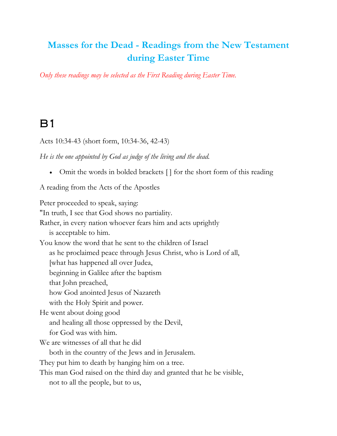#### **Masses for the Dead - Readings from the New Testament during Easter Time**

*Only these readings may be selected as the First Reading during Easter Time.*

#### B1

Acts 10:34-43 (short form, 10:34-36, 42-43)

*He is the one appointed by God as judge of the living and the dead.*

• Omit the words in bolded brackets [] for the short form of this reading

A reading from the Acts of the Apostles

Peter proceeded to speak, saying: "In truth, I see that God shows no partiality. Rather, in every nation whoever fears him and acts uprightly is acceptable to him. You know the word that he sent to the children of Israel as he proclaimed peace through Jesus Christ, who is Lord of all, [what has happened all over Judea, beginning in Galilee after the baptism that John preached, how God anointed Jesus of Nazareth with the Holy Spirit and power. He went about doing good and healing all those oppressed by the Devil, for God was with him. We are witnesses of all that he did both in the country of the Jews and in Jerusalem. They put him to death by hanging him on a tree. This man God raised on the third day and granted that he be visible, not to all the people, but to us,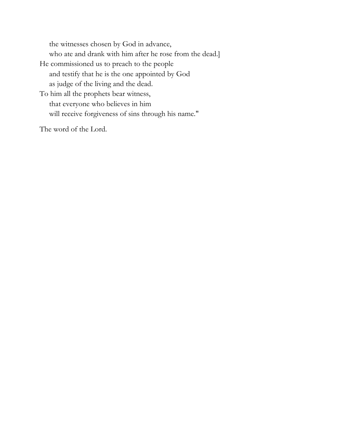the witnesses chosen by God in advance, who ate and drank with him after he rose from the dead.] He commissioned us to preach to the people and testify that he is the one appointed by God as judge of the living and the dead. To him all the prophets bear witness, that everyone who believes in him will receive forgiveness of sins through his name."

The word of the Lord.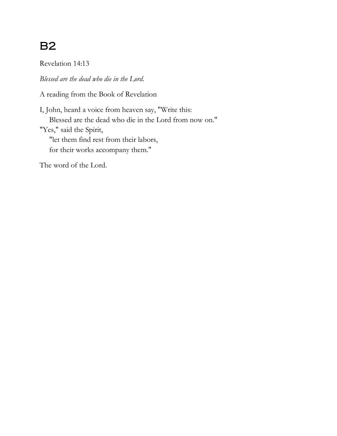# B2

Revelation 14:13

*Blessed are the dead who die in the Lord.*

A reading from the Book of Revelation

I, John, heard a voice from heaven say, "Write this: Blessed are the dead who die in the Lord from now on." "Yes," said the Spirit, "let them find rest from their labors, for their works accompany them."

The word of the Lord.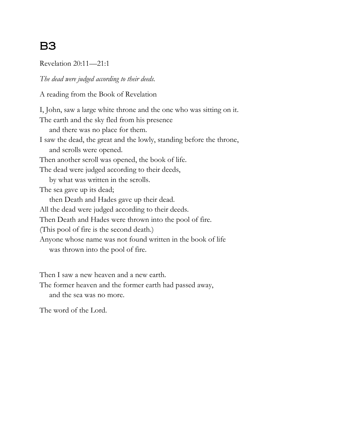# B3

Revelation 20:11—21:1

*The dead were judged according to their deeds.*

A reading from the Book of Revelation

I, John, saw a large white throne and the one who was sitting on it. The earth and the sky fled from his presence and there was no place for them. I saw the dead, the great and the lowly, standing before the throne, and scrolls were opened. Then another scroll was opened, the book of life. The dead were judged according to their deeds, by what was written in the scrolls. The sea gave up its dead; then Death and Hades gave up their dead. All the dead were judged according to their deeds. Then Death and Hades were thrown into the pool of fire. (This pool of fire is the second death.) Anyone whose name was not found written in the book of life was thrown into the pool of fire.

Then I saw a new heaven and a new earth.

The former heaven and the former earth had passed away, and the sea was no more.

The word of the Lord.